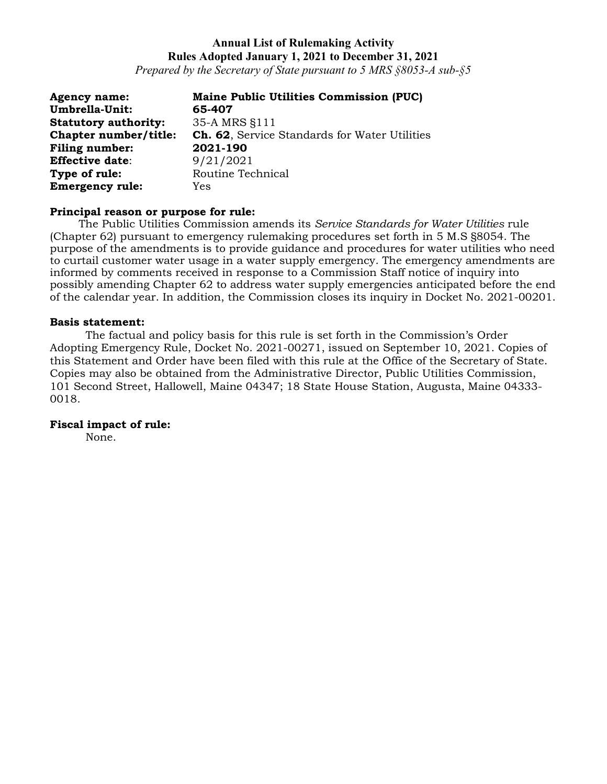*Prepared by the Secretary of State pursuant to 5 MRS §8053-A sub-§5*

| <b>Agency name:</b>         | <b>Maine Public Utilities Commission (PUC)</b>       |
|-----------------------------|------------------------------------------------------|
| Umbrella-Unit:              | 65-407                                               |
| <b>Statutory authority:</b> | 35-A MRS §111                                        |
| Chapter number/title:       | <b>Ch. 62, Service Standards for Water Utilities</b> |
| Filing number:              | 2021-190                                             |
| <b>Effective date:</b>      | 9/21/2021                                            |
| Type of rule:               | Routine Technical                                    |
| <b>Emergency rule:</b>      | Yes                                                  |

### **Principal reason or purpose for rule:**

The Public Utilities Commission amends its *Service Standards for Water Utilities* rule (Chapter 62) pursuant to emergency rulemaking procedures set forth in 5 M.S §8054. The purpose of the amendments is to provide guidance and procedures for water utilities who need to curtail customer water usage in a water supply emergency. The emergency amendments are informed by comments received in response to a Commission Staff notice of inquiry into possibly amending Chapter 62 to address water supply emergencies anticipated before the end of the calendar year. In addition, the Commission closes its inquiry in Docket No. 2021-00201.

#### **Basis statement:**

The factual and policy basis for this rule is set forth in the Commission's Order Adopting Emergency Rule, Docket No. 2021-00271, issued on September 10, 2021. Copies of this Statement and Order have been filed with this rule at the Office of the Secretary of State. Copies may also be obtained from the Administrative Director, Public Utilities Commission, 101 Second Street, Hallowell, Maine 04347; 18 State House Station, Augusta, Maine 04333- 0018.

### **Fiscal impact of rule:**

None.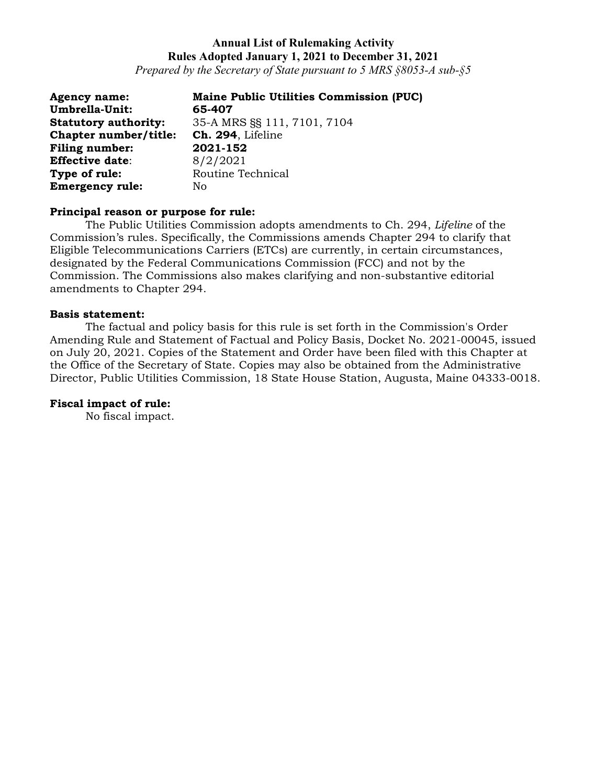*Prepared by the Secretary of State pursuant to 5 MRS §8053-A sub-§5*

| <b>Agency name:</b>         | <b>Maine Public Utilities Commission (PUC)</b> |
|-----------------------------|------------------------------------------------|
| Umbrella-Unit:              | 65-407                                         |
| <b>Statutory authority:</b> | 35-A MRS §§ 111, 7101, 7104                    |
| Chapter number/title:       | Ch. 294, Lifeline                              |
| <b>Filing number:</b>       | 2021-152                                       |
| <b>Effective date:</b>      | 8/2/2021                                       |
| Type of rule:               | Routine Technical                              |
| <b>Emergency rule:</b>      | No                                             |

### **Principal reason or purpose for rule:**

The Public Utilities Commission adopts amendments to Ch. 294, *Lifeline* of the Commission's rules. Specifically, the Commissions amends Chapter 294 to clarify that Eligible Telecommunications Carriers (ETCs) are currently, in certain circumstances, designated by the Federal Communications Commission (FCC) and not by the Commission. The Commissions also makes clarifying and non-substantive editorial amendments to Chapter 294.

#### **Basis statement:**

The factual and policy basis for this rule is set forth in the Commission's Order Amending Rule and Statement of Factual and Policy Basis, Docket No. 2021-00045, issued on July 20, 2021. Copies of the Statement and Order have been filed with this Chapter at the Office of the Secretary of State. Copies may also be obtained from the Administrative Director, Public Utilities Commission, 18 State House Station, Augusta, Maine 04333-0018.

### **Fiscal impact of rule:**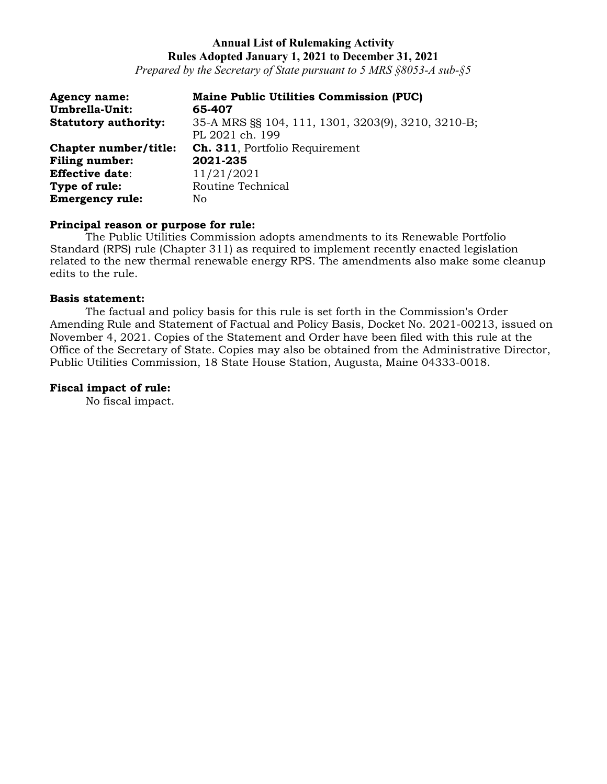*Prepared by the Secretary of State pursuant to 5 MRS §8053-A sub-§5*

| <b>Agency name:</b><br>Umbrella-Unit: | <b>Maine Public Utilities Commission (PUC)</b><br>65-407              |
|---------------------------------------|-----------------------------------------------------------------------|
| <b>Statutory authority:</b>           | 35-A MRS §§ 104, 111, 1301, 3203(9), 3210, 3210-B;<br>PL 2021 ch. 199 |
| Chapter number/title:                 | <b>Ch. 311.</b> Portfolio Requirement                                 |
| <b>Filing number:</b>                 | 2021-235                                                              |
| <b>Effective date:</b>                | 11/21/2021                                                            |
| Type of rule:                         | Routine Technical                                                     |
| <b>Emergency rule:</b>                | No                                                                    |

# **Principal reason or purpose for rule:**

The Public Utilities Commission adopts amendments to its Renewable Portfolio Standard (RPS) rule (Chapter 311) as required to implement recently enacted legislation related to the new thermal renewable energy RPS. The amendments also make some cleanup edits to the rule.

#### **Basis statement:**

The factual and policy basis for this rule is set forth in the Commission's Order Amending Rule and Statement of Factual and Policy Basis, Docket No. 2021-00213, issued on November 4, 2021. Copies of the Statement and Order have been filed with this rule at the Office of the Secretary of State. Copies may also be obtained from the Administrative Director, Public Utilities Commission, 18 State House Station, Augusta, Maine 04333-0018.

### **Fiscal impact of rule:**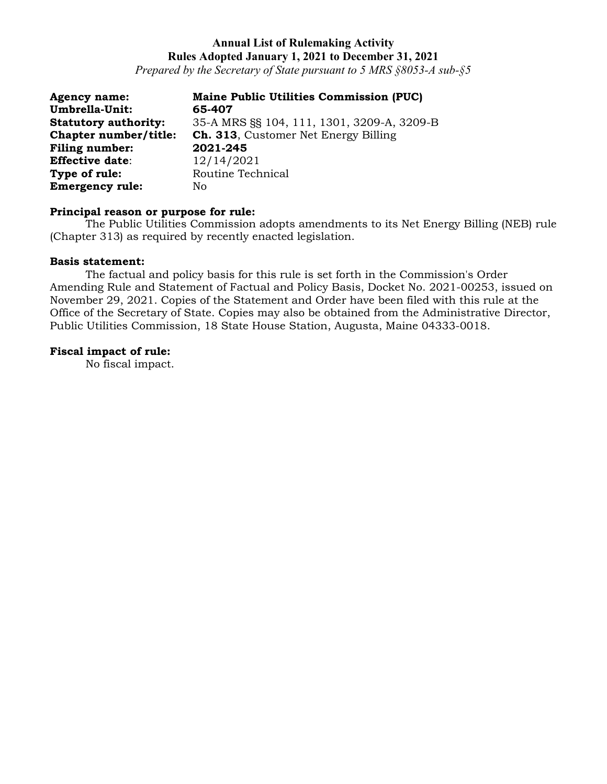*Prepared by the Secretary of State pursuant to 5 MRS §8053-A sub-§5*

| <b>Agency name:</b>         | <b>Maine Public Utilities Commission (PUC)</b> |
|-----------------------------|------------------------------------------------|
| Umbrella-Unit:              | 65-407                                         |
| <b>Statutory authority:</b> | 35-A MRS §§ 104, 111, 1301, 3209-A, 3209-B     |
| Chapter number/title:       | <b>Ch. 313, Customer Net Energy Billing</b>    |
| Filing number:              | 2021-245                                       |
| <b>Effective date:</b>      | 12/14/2021                                     |
| Type of rule:               | Routine Technical                              |
| <b>Emergency rule:</b>      | No                                             |

### **Principal reason or purpose for rule:**

The Public Utilities Commission adopts amendments to its Net Energy Billing (NEB) rule (Chapter 313) as required by recently enacted legislation.

#### **Basis statement:**

The factual and policy basis for this rule is set forth in the Commission's Order Amending Rule and Statement of Factual and Policy Basis, Docket No. 2021-00253, issued on November 29, 2021. Copies of the Statement and Order have been filed with this rule at the Office of the Secretary of State. Copies may also be obtained from the Administrative Director, Public Utilities Commission, 18 State House Station, Augusta, Maine 04333-0018.

#### **Fiscal impact of rule:**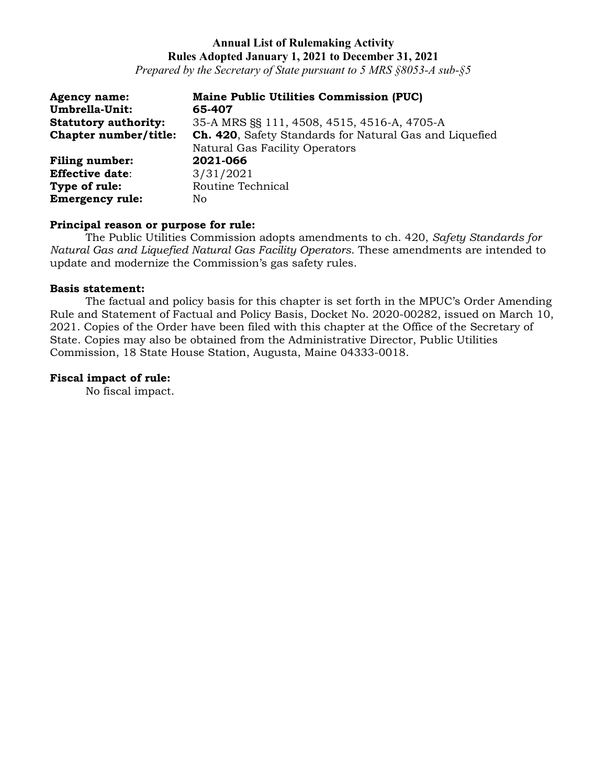*Prepared by the Secretary of State pursuant to 5 MRS §8053-A sub-§5*

| <b>Agency name:</b><br>Umbrella-Unit: | <b>Maine Public Utilities Commission (PUC)</b><br>65-407                                  |
|---------------------------------------|-------------------------------------------------------------------------------------------|
| <b>Statutory authority:</b>           | 35-A MRS SS 111, 4508, 4515, 4516-A, 4705-A                                               |
| Chapter number/title:                 | Ch. 420, Safety Standards for Natural Gas and Liquefied<br>Natural Gas Facility Operators |
| <b>Filing number:</b>                 | 2021-066                                                                                  |
| <b>Effective date:</b>                | 3/31/2021                                                                                 |
| Type of rule:                         | Routine Technical                                                                         |
| <b>Emergency rule:</b>                | No                                                                                        |

### **Principal reason or purpose for rule:**

The Public Utilities Commission adopts amendments to ch. 420, *Safety Standards for Natural Gas and Liquefied Natural Gas Facility Operators*. These amendments are intended to update and modernize the Commission's gas safety rules.

### **Basis statement:**

The factual and policy basis for this chapter is set forth in the MPUC's Order Amending Rule and Statement of Factual and Policy Basis, Docket No. 2020-00282, issued on March 10, 2021. Copies of the Order have been filed with this chapter at the Office of the Secretary of State. Copies may also be obtained from the Administrative Director, Public Utilities Commission, 18 State House Station, Augusta, Maine 04333-0018.

#### **Fiscal impact of rule:**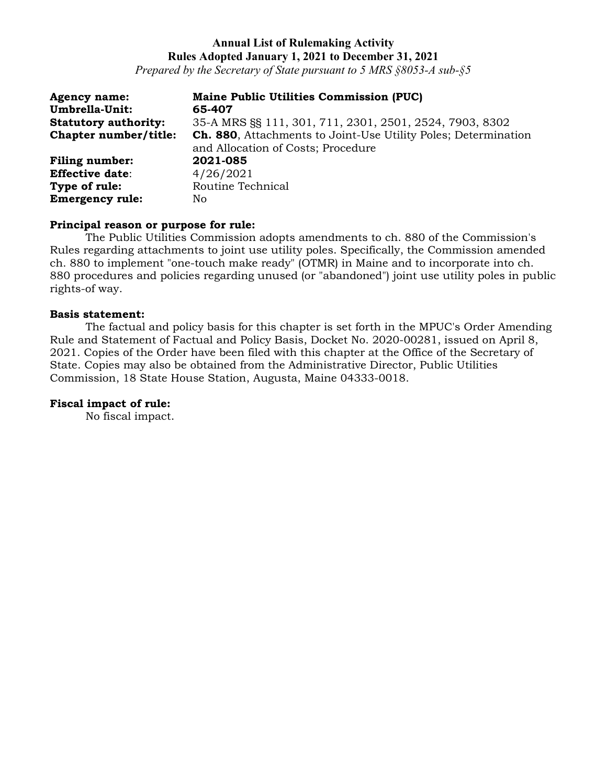*Prepared by the Secretary of State pursuant to 5 MRS §8053-A sub-§5*

| <b>Agency name:</b><br>Umbrella-Unit: | <b>Maine Public Utilities Commission (PUC)</b><br>65-407                                             |
|---------------------------------------|------------------------------------------------------------------------------------------------------|
| <b>Statutory authority:</b>           | 35-A MRS §§ 111, 301, 711, 2301, 2501, 2524, 7903, 8302                                              |
| Chapter number/title:                 | Ch. 880, Attachments to Joint-Use Utility Poles; Determination<br>and Allocation of Costs; Procedure |
| <b>Filing number:</b>                 | 2021-085                                                                                             |
| <b>Effective date:</b>                | 4/26/2021                                                                                            |
| Type of rule:                         | Routine Technical                                                                                    |
| <b>Emergency rule:</b>                | No.                                                                                                  |

### **Principal reason or purpose for rule:**

The Public Utilities Commission adopts amendments to ch. 880 of the Commission's Rules regarding attachments to joint use utility poles. Specifically, the Commission amended ch. 880 to implement "one-touch make ready" (OTMR) in Maine and to incorporate into ch. 880 procedures and policies regarding unused (or "abandoned") joint use utility poles in public rights-of way.

## **Basis statement:**

The factual and policy basis for this chapter is set forth in the MPUC's Order Amending Rule and Statement of Factual and Policy Basis, Docket No. 2020-00281, issued on April 8, 2021. Copies of the Order have been filed with this chapter at the Office of the Secretary of State. Copies may also be obtained from the Administrative Director, Public Utilities Commission, 18 State House Station, Augusta, Maine 04333-0018.

## **Fiscal impact of rule:**